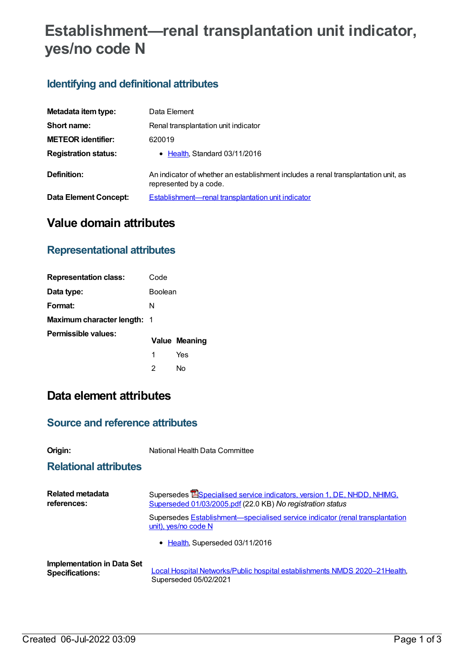# **Establishment—renal transplantation unit indicator, yes/no code N**

## **Identifying and definitional attributes**

| Metadata item type:         | Data Element                                                                                                 |
|-----------------------------|--------------------------------------------------------------------------------------------------------------|
| Short name:                 | Renal transplantation unit indicator                                                                         |
| <b>METEOR identifier:</b>   | 620019                                                                                                       |
| <b>Registration status:</b> | • Health, Standard 03/11/2016                                                                                |
| Definition:                 | An indicator of whether an establishment includes a renal transplantation unit, as<br>represented by a code. |
| Data Element Concept:       | Establishment—renal transplantation unit indicator                                                           |

## **Value domain attributes**

### **Representational attributes**

| <b>Representation class:</b> | Code    |               |
|------------------------------|---------|---------------|
| Data type:                   | Boolean |               |
| Format:                      | N       |               |
| Maximum character length: 1  |         |               |
| Permissible values:          |         | Value Meaning |
|                              | 1       | Yes           |
|                              | 2       | N٥            |

# **Data element attributes**

#### **Source and reference attributes**

**Origin:** National Health Data Committee

#### **Relational attributes**

| Related metadata                  | Supersedes Especialised service indicators, version 1, DE, NHDD, NHIMG,                               |
|-----------------------------------|-------------------------------------------------------------------------------------------------------|
| references:                       | Superseded 01/03/2005.pdf (22.0 KB) No registration status                                            |
|                                   | Supersedes Establishment-specialised service indicator (renal transplantation<br>unit), yes/no code N |
|                                   | • Health, Superseded 03/11/2016                                                                       |
| <b>Implementation in Data Set</b> | Local Hospital Networks/Public hospital establishments NMDS 2020-21 Health,                           |
| <b>Specifications:</b>            | Superseded 05/02/2021                                                                                 |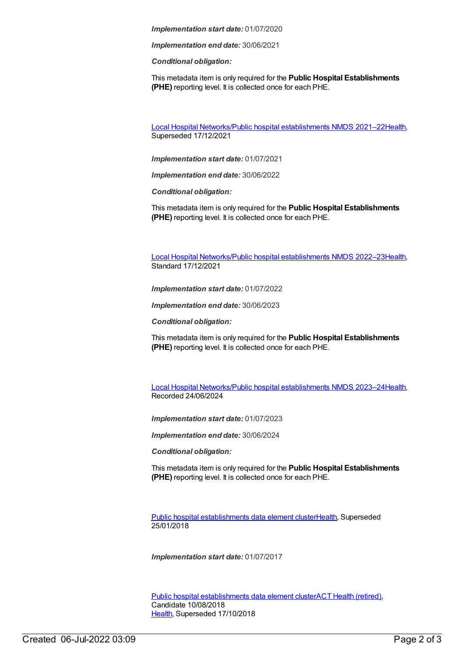*Implementation start date:* 01/07/2020

*Implementation end date:* 30/06/2021

*Conditional obligation:*

This metadata item is only required for the **Public Hospital Establishments (PHE)** reporting level. It is collected once for each PHE.

Local Hospital [Networks/Public](https://meteor.aihw.gov.au/content/727356) hospital establishments NMDS 2021–22[Health](https://meteor.aihw.gov.au/RegistrationAuthority/12), Superseded 17/12/2021

*Implementation start date:* 01/07/2021

*Implementation end date:* 30/06/2022

*Conditional obligation:*

This metadata item is only required for the **Public Hospital Establishments (PHE)** reporting level. It is collected once for each PHE.

Local Hospital [Networks/Public](https://meteor.aihw.gov.au/content/742044) hospital establishments NMDS 2022–23[Health](https://meteor.aihw.gov.au/RegistrationAuthority/12), Standard 17/12/2021

*Implementation start date:* 01/07/2022

*Implementation end date:* 30/06/2023

*Conditional obligation:*

This metadata item is only required for the **Public Hospital Establishments (PHE)** reporting level. It is collected once for each PHE.

Local Hospital [Networks/Public](https://meteor.aihw.gov.au/content/756101) hospital establishments NMDS 2023–24[Health](https://meteor.aihw.gov.au/RegistrationAuthority/12), Recorded 24/06/2024

*Implementation start date:* 01/07/2023

*Implementation end date:* 30/06/2024

*Conditional obligation:*

This metadata item is only required for the **Public Hospital Establishments (PHE)** reporting level. It is collected once for each PHE.

Public hospital [establishments](https://meteor.aihw.gov.au/content/643172) data element cluste[rHealth](https://meteor.aihw.gov.au/RegistrationAuthority/12), Superseded 25/01/2018

*Implementation start date:* 01/07/2017

Public hospital [establishments](https://meteor.aihw.gov.au/content/679217) data element clusterACT Health [\(retired\)](https://meteor.aihw.gov.au/RegistrationAuthority/9), Candidate 10/08/2018 [Health](https://meteor.aihw.gov.au/RegistrationAuthority/12), Superseded 17/10/2018